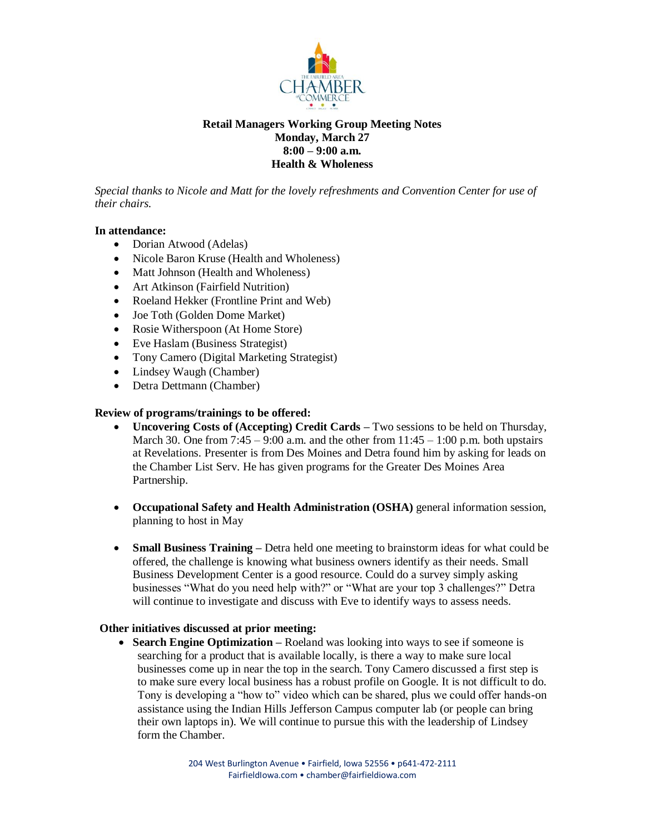

# **Retail Managers Working Group Meeting Notes Monday, March 27 8:00 – 9:00 a.m. Health & Wholeness**

*Special thanks to Nicole and Matt for the lovely refreshments and Convention Center for use of their chairs.*

### **In attendance:**

- Dorian Atwood (Adelas)
- Nicole Baron Kruse (Health and Wholeness)
- Matt Johnson (Health and Wholeness)
- Art Atkinson (Fairfield Nutrition)
- Roeland Hekker (Frontline Print and Web)
- Joe Toth (Golden Dome Market)
- Rosie Witherspoon (At Home Store)
- Eve Haslam (Business Strategist)
- Tony Camero (Digital Marketing Strategist)
- Lindsey Waugh (Chamber)
- Detra Dettmann (Chamber)

## **Review of programs/trainings to be offered:**

- **Uncovering Costs of (Accepting) Credit Cards** Two sessions to be held on Thursday, March 30. One from  $7:45 - 9:00$  a.m. and the other from  $11:45 - 1:00$  p.m. both upstairs at Revelations. Presenter is from Des Moines and Detra found him by asking for leads on the Chamber List Serv. He has given programs for the Greater Des Moines Area Partnership.
- **Occupational Safety and Health Administration (OSHA)** general information session, planning to host in May
- **Small Business Training –** Detra held one meeting to brainstorm ideas for what could be offered, the challenge is knowing what business owners identify as their needs. Small Business Development Center is a good resource. Could do a survey simply asking businesses "What do you need help with?" or "What are your top 3 challenges?" Detra will continue to investigate and discuss with Eve to identify ways to assess needs.

### **Other initiatives discussed at prior meeting:**

• **Search Engine Optimization** – Roeland was looking into ways to see if someone is searching for a product that is available locally, is there a way to make sure local businesses come up in near the top in the search. Tony Camero discussed a first step is to make sure every local business has a robust profile on Google. It is not difficult to do. Tony is developing a "how to" video which can be shared, plus we could offer hands-on assistance using the Indian Hills Jefferson Campus computer lab (or people can bring their own laptops in). We will continue to pursue this with the leadership of Lindsey form the Chamber.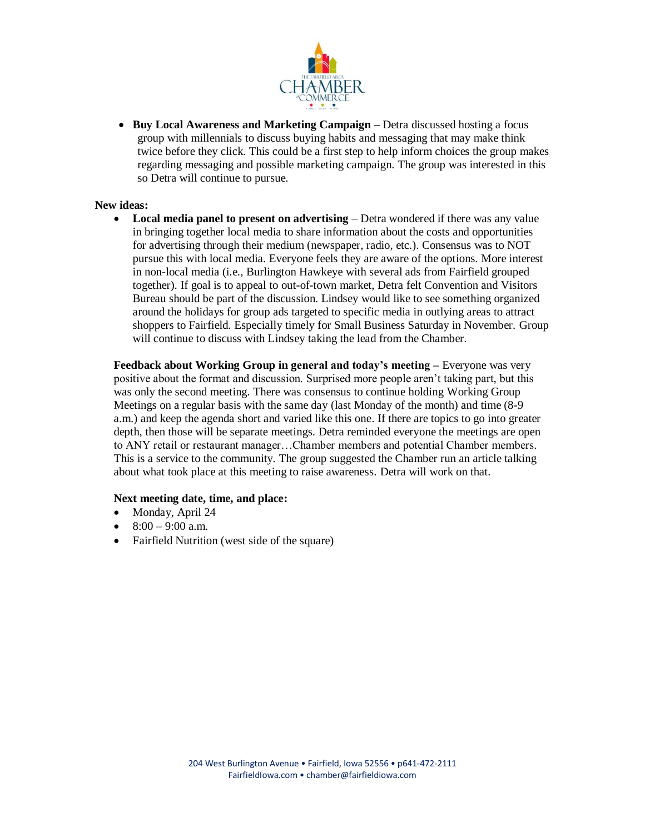

**• Buy Local Awareness and Marketing Campaign –** Detra discussed hosting a focus group with millennials to discuss buying habits and messaging that may make think twice before they click. This could be a first step to help inform choices the group makes regarding messaging and possible marketing campaign. The group was interested in this so Detra will continue to pursue.

#### **New ideas:**

 **Local media panel to present on advertising** – Detra wondered if there was any value in bringing together local media to share information about the costs and opportunities for advertising through their medium (newspaper, radio, etc.). Consensus was to NOT pursue this with local media. Everyone feels they are aware of the options. More interest in non-local media (i.e., Burlington Hawkeye with several ads from Fairfield grouped together). If goal is to appeal to out-of-town market, Detra felt Convention and Visitors Bureau should be part of the discussion. Lindsey would like to see something organized around the holidays for group ads targeted to specific media in outlying areas to attract shoppers to Fairfield. Especially timely for Small Business Saturday in November. Group will continue to discuss with Lindsey taking the lead from the Chamber.

**Feedback about Working Group in general and today's meeting –** Everyone was very positive about the format and discussion. Surprised more people aren't taking part, but this was only the second meeting. There was consensus to continue holding Working Group Meetings on a regular basis with the same day (last Monday of the month) and time (8-9 a.m.) and keep the agenda short and varied like this one. If there are topics to go into greater depth, then those will be separate meetings. Detra reminded everyone the meetings are open to ANY retail or restaurant manager…Chamber members and potential Chamber members. This is a service to the community. The group suggested the Chamber run an article talking about what took place at this meeting to raise awareness. Detra will work on that.

#### **Next meeting date, time, and place:**

- Monday, April 24
- $8:00 9:00$  a.m.
- Fairfield Nutrition (west side of the square)